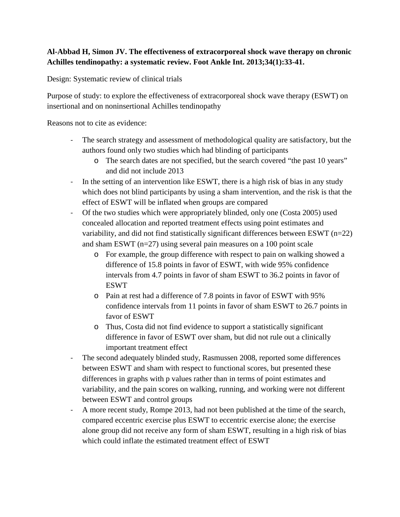## **Al-Abbad H, Simon JV. The effectiveness of extracorporeal shock wave therapy on chronic Achilles tendinopathy: a systematic review. Foot Ankle Int. 2013;34(1):33-41.**

Design: Systematic review of clinical trials

Purpose of study: to explore the effectiveness of extracorporeal shock wave therapy (ESWT) on insertional and on noninsertional Achilles tendinopathy

Reasons not to cite as evidence:

- The search strategy and assessment of methodological quality are satisfactory, but the authors found only two studies which had blinding of participants
	- o The search dates are not specified, but the search covered "the past 10 years" and did not include 2013
- In the setting of an intervention like ESWT, there is a high risk of bias in any study which does not blind participants by using a sham intervention, and the risk is that the effect of ESWT will be inflated when groups are compared
- Of the two studies which were appropriately blinded, only one (Costa 2005) used concealed allocation and reported treatment effects using point estimates and variability, and did not find statistically significant differences between ESWT (n=22) and sham ESWT (n=27) using several pain measures on a 100 point scale
	- o For example, the group difference with respect to pain on walking showed a difference of 15.8 points in favor of ESWT, with wide 95% confidence intervals from 4.7 points in favor of sham ESWT to 36.2 points in favor of ESWT
	- o Pain at rest had a difference of 7.8 points in favor of ESWT with 95% confidence intervals from 11 points in favor of sham ESWT to 26.7 points in favor of ESWT
	- o Thus, Costa did not find evidence to support a statistically significant difference in favor of ESWT over sham, but did not rule out a clinically important treatment effect
- The second adequately blinded study, Rasmussen 2008, reported some differences between ESWT and sham with respect to functional scores, but presented these differences in graphs with p values rather than in terms of point estimates and variability, and the pain scores on walking, running, and working were not different between ESWT and control groups
- A more recent study, Rompe 2013, had not been published at the time of the search, compared eccentric exercise plus ESWT to eccentric exercise alone; the exercise alone group did not receive any form of sham ESWT, resulting in a high risk of bias which could inflate the estimated treatment effect of ESWT